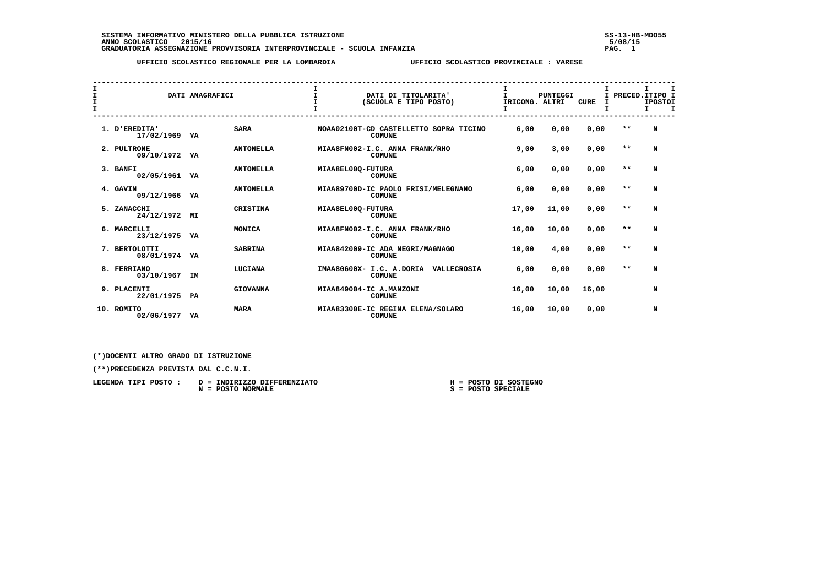**SISTEMA INFORMATIVO MINISTERO DELLA PUBBLICA ISTRUZIONE SS-13-HB-MDO55 ANNO SCOLASTICO 2015/16 5/08/15 GRADUATORIA ASSEGNAZIONE PROVVISORIA INTERPROVINCIALE - SCUOLA INFANZIA PAG. 1**

 **UFFICIO SCOLASTICO REGIONALE PER LA LOMBARDIA UFFICIO SCOLASTICO PROVINCIALE : VARESE**

| I<br>I<br>I |                             | DATI ANAGRAFICI |                  | $\mathbf{I}$<br>$\mathbf{I}$<br>$\mathbf{T}$ | DATI DI TITOLARITA'<br>(SCUOLA E TIPO POSTO)             | T.<br>IRICONG. ALTRI | <b>PUNTEGGI</b> | <b>CURE</b> | I<br>т |       | I PRECED. ITIPO I<br><b>IPOSTOI</b><br>$\mathbf I$<br>T. | I |
|-------------|-----------------------------|-----------------|------------------|----------------------------------------------|----------------------------------------------------------|----------------------|-----------------|-------------|--------|-------|----------------------------------------------------------|---|
|             |                             |                 |                  |                                              |                                                          |                      |                 |             |        |       |                                                          |   |
|             | 1. D'EREDITA'<br>17/02/1969 | VA              | <b>SARA</b>      |                                              | NOAA02100T-CD CASTELLETTO SOPRA TICINO<br><b>COMUNE</b>  | 6,00                 | 0.00            | 0,00        |        | $* *$ | N                                                        |   |
|             | 2. PULTRONE<br>09/10/1972   | VA              | <b>ANTONELLA</b> |                                              | MIAA8FN002-I.C. ANNA FRANK/RHO<br><b>COMUNE</b>          | 9,00                 | 3,00            | 0,00        |        | $* *$ | N                                                        |   |
|             | 3. BANFI<br>02/05/1961 VA   |                 | <b>ANTONELLA</b> | MIAA8EL00Q-FUTURA                            | <b>COMUNE</b>                                            | 6,00                 | 0.00            | 0,00        |        | $* *$ | N                                                        |   |
|             | 4. GAVIN<br>09/12/1966      | VA              | <b>ANTONELLA</b> |                                              | MIAA89700D-IC PAOLO FRISI/MELEGNANO<br><b>COMUNE</b>     | 6,00                 | 0.00            | 0,00        |        | $* *$ | N                                                        |   |
|             | 5. ZANACCHI<br>24/12/1972   | MI              | CRISTINA         | MIAA8EL00Q-FUTURA                            | <b>COMUNE</b>                                            | 17,00                | 11,00           | 0.00        |        | $* *$ | N                                                        |   |
|             | 6. MARCELLI<br>23/12/1975   | VA              | MONICA           |                                              | MIAA8FN002-I.C. ANNA FRANK/RHO<br><b>COMUNE</b>          | 16,00                | 10,00           | 0,00        |        | $**$  | N                                                        |   |
|             | 7. BERTOLOTTI<br>08/01/1974 | VA              | <b>SABRINA</b>   |                                              | MIAA842009-IC ADA NEGRI/MAGNAGO<br><b>COMUNE</b>         | 10,00                | 4,00            | 0,00        |        | $* *$ | N                                                        |   |
|             | 8. FERRIANO<br>03/10/1967   | <b>IM</b>       | LUCIANA          |                                              | IMAA80600X- I.C. A.DORIA<br>VALLECROSIA<br><b>COMUNE</b> | 6,00                 | 0,00            | 0,00        |        | $* *$ | N                                                        |   |
|             | 9. PLACENTI<br>22/01/1975   | PA              | <b>GIOVANNA</b>  |                                              | MIAA849004-IC A.MANZONI<br><b>COMUNE</b>                 | 16,00                | 10,00           | 16,00       |        |       | N                                                        |   |
|             | 10. ROMITO<br>02/06/1977    | VA              | <b>MARA</b>      |                                              | MIAA83300E-IC REGINA ELENA/SOLARO<br><b>COMUNE</b>       | 16,00                | 10,00           | 0,00        |        |       | N                                                        |   |

 **(\*)DOCENTI ALTRO GRADO DI ISTRUZIONE**

 **(\*\*)PRECEDENZA PREVISTA DAL C.C.N.I.**

| LEGENDA TIPI POSTO : | D = INDIRIZZO DIFFERENZIATO | H = POSTO DI SOSTEGNO |
|----------------------|-----------------------------|-----------------------|
|                      | N = POSTO NORMALE           | S = POSTO SPECIALE    |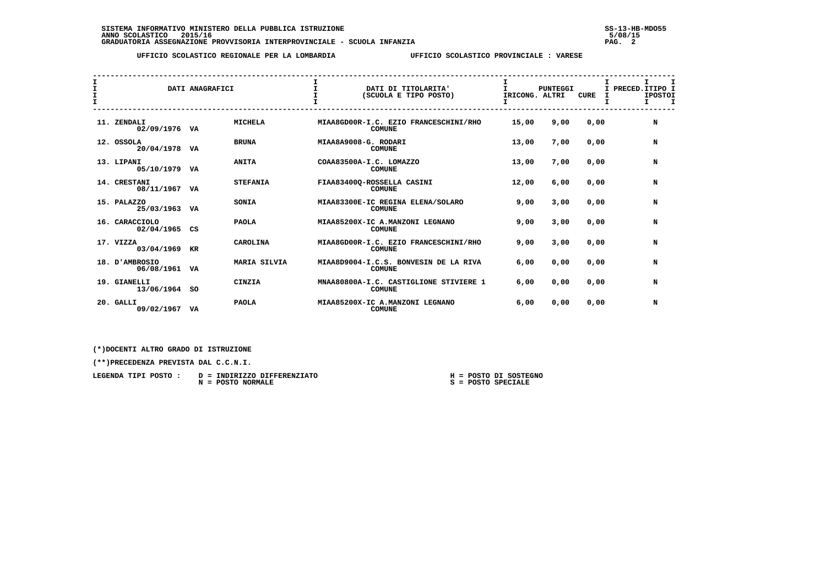## **UFFICIO SCOLASTICO REGIONALE PER LA LOMBARDIA UFFICIO SCOLASTICO PROVINCIALE : VARESE**

| I<br>$\mathbf{I}$<br>$\mathbf{I}$ |                               | DATI ANAGRAFICI |                     | $\mathbf{I}$         | DATI DI TITOLARITA'<br>(SCUOLA E TIPO POSTO)            | I.<br>IRICONG. ALTRI | <b>PUNTEGGI</b> | <b>CURE</b> | т<br>I | I.<br>I PRECED. ITIPO I<br><b>IPOSTOI</b><br>$\mathbf I$<br>I. |
|-----------------------------------|-------------------------------|-----------------|---------------------|----------------------|---------------------------------------------------------|----------------------|-----------------|-------------|--------|----------------------------------------------------------------|
|                                   | 11. ZENDALI<br>02/09/1976 VA  |                 | <b>MICHELA</b>      |                      | MIAA8GD00R-I.C. EZIO FRANCESCHINI/RHO<br><b>COMUNE</b>  | 15,00                | 9,00            | 0,00        |        | N                                                              |
|                                   | 12. OSSOLA<br>20/04/1978 VA   |                 | <b>BRUNA</b>        | MIAA8A9008-G. RODARI | <b>COMUNE</b>                                           | 13,00                | 7,00            | 0,00        |        | N                                                              |
|                                   | 13. LIPANI<br>05/10/1979 VA   |                 | <b>ANITA</b>        |                      | COAA83500A-I.C. LOMAZZO<br><b>COMUNE</b>                | 13,00                | 7,00            | 0,00        |        | N                                                              |
|                                   | 14. CRESTANI<br>08/11/1967 VA |                 | <b>STEFANIA</b>     |                      | FIAA83400Q-ROSSELLA CASINI<br><b>COMUNE</b>             | 12,00                | 6,00            | 0,00        |        | N                                                              |
|                                   | 15. PALAZZO<br>25/03/1963 VA  |                 | SONIA               |                      | MIAA83300E-IC REGINA ELENA/SOLARO<br><b>COMUNE</b>      | 9,00                 | 3,00            | 0,00        |        | N                                                              |
|                                   | 16. CARACCIOLO<br>02/04/1965  | CS              | <b>PAOLA</b>        |                      | MIAA85200X-IC A.MANZONI LEGNANO<br><b>COMUNE</b>        | 9,00                 | 3,00            | 0,00        |        | N                                                              |
|                                   | 17. VIZZA<br>03/04/1969       | KR              | CAROLINA            |                      | MIAA8GD00R-I.C. EZIO FRANCESCHINI/RHO<br><b>COMUNE</b>  | 9,00                 | 3,00            | 0,00        |        | N                                                              |
|                                   | 18. D'AMBROSIO<br>06/08/1961  | VA              | <b>MARIA SILVIA</b> |                      | MIAA8D9004-I.C.S. BONVESIN DE LA RIVA<br><b>COMUNE</b>  | 6,00                 | 0,00            | 0,00        |        | N                                                              |
|                                   | 19. GIANELLI<br>13/06/1964 SO |                 | CINZIA              |                      | MNAA80800A-I.C. CASTIGLIONE STIVIERE 1<br><b>COMUNE</b> | 6,00                 | 0,00            | 0,00        |        | N                                                              |
|                                   | 20. GALLI<br>09/02/1967 VA    |                 | <b>PAOLA</b>        |                      | MIAA85200X-IC A.MANZONI LEGNANO<br><b>COMUNE</b>        | 6,00                 | 0,00            | 0,00        |        | N                                                              |

 **(\*)DOCENTI ALTRO GRADO DI ISTRUZIONE**

 **(\*\*)PRECEDENZA PREVISTA DAL C.C.N.I.**

| LEGENDA TIPI POSTO: | D = INDIRIZZO DIFFERENZIATO |  | H = POSTO DI SOSTEGNO |
|---------------------|-----------------------------|--|-----------------------|
|                     | N = POSTO NORMALE           |  | $S = POSTO SPECIALE$  |